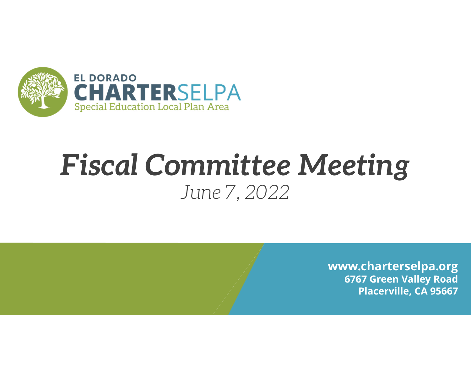

### *Fiscal Committee Meeting June 7, 2022*

**www.charterselpa.org 6767 Green Valley Road Placerville, CA 95667**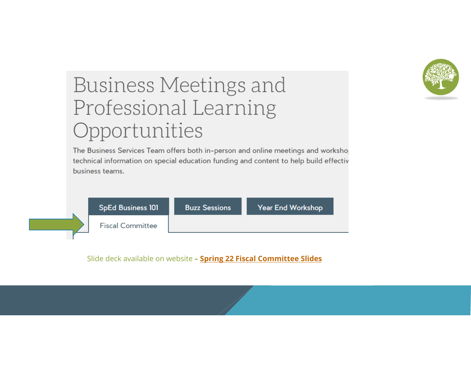

#### Business Meetings and Professional Learning Opportunities

The Business Services Team offers both in-person and online meetings and worksho technical information on special education funding and content to help build effectiv business teams.



Slide deck available on website **– Spring 22 Fiscal Committee Slides**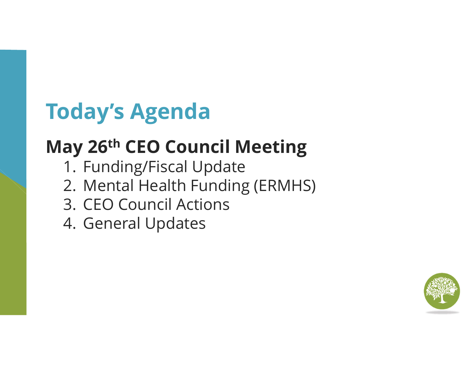### **Today's Agenda**

### **May 26th CEO Council Meeting**

- 1. Funding/Fiscal Update
- 2. Mental Health Funding (ERMHS)
- 3. CEO Council Actions
- 4. General Updates

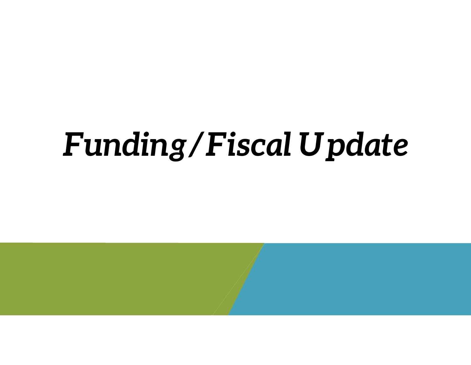# *Funding/Fiscal Update*

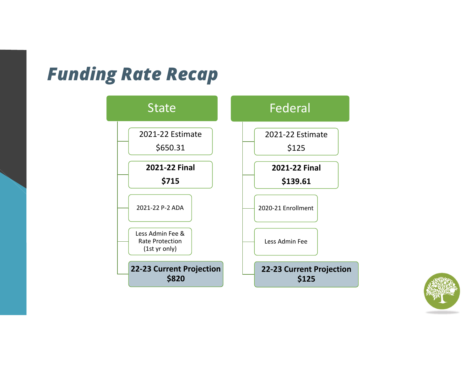#### *Funding Rate Recap*



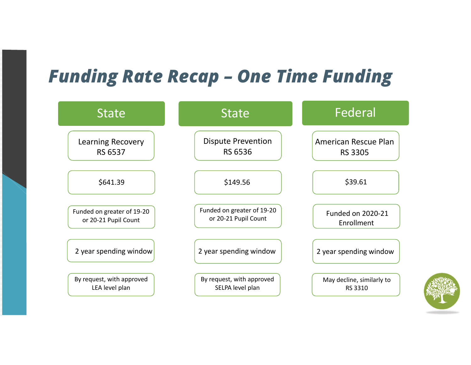#### *Funding Rate Recap – One Time Funding*

| <b>State</b>               | <b>State</b>               | Federal                   |  |  |
|----------------------------|----------------------------|---------------------------|--|--|
| <b>Learning Recovery</b>   | <b>Dispute Prevention</b>  | American Rescue Plan      |  |  |
| RS 6537                    | <b>RS 6536</b>             | <b>RS 3305</b>            |  |  |
| \$641.39                   | \$149.56                   | \$39.61                   |  |  |
| Funded on greater of 19-20 | Funded on greater of 19-20 | <b>Funded on 2020-21</b>  |  |  |
| or 20-21 Pupil Count       | or 20-21 Pupil Count       | Enrollment                |  |  |
| 2 year spending window     | 2 year spending window     | 2 year spending window    |  |  |
| By request, with approved  | By request, with approved  | May decline, similarly to |  |  |
| LEA level plan             | SELPA level plan           | RS 3310                   |  |  |

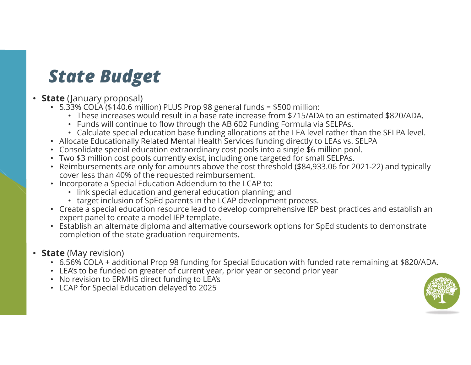#### *State Budget*

#### • **State** (January proposal)

- 5.33% COLA (\$140.6 million) <u>PLUS</u> Prop 98 general funds = \$500 million:
	- These increases would result in a base rate increase from \$715/ADA to an estimated \$820/ADA.
	- Funds will continue to flow through the AB 602 Funding Formula via SELPAs.
	- Calculate special education base funding allocations at the LEA level rather than the SELPA level.
- Allocate Educationally Related Mental Health Services funding directly to LEAs vs. SELPA
- Consolidate special education extraordinary cost pools into a single \$6 million pool.
- Two \$3 million cost pools currently exist, including one targeted for small SELPAs.
- Reimbursements are only for amounts above the cost threshold (\$84,933.06 for 2021-22) and typically cover less than 40% of the requested reimbursement.
- Incorporate a Special Education Addendum to the LCAP to:
	- link special education and general education planning; and
	- target inclusion of SpEd parents in the LCAP development process.
- Create a special education resource lead to develop comprehensive IEP best practices and establish an expert panel to create a model IEP template.
- Establish an alternate diploma and alternative coursework options for SpEd students to demonstrate completion of the state graduation requirements.

#### • **State** (May revision)

- 6.56% COLA + additional Prop 98 funding for Special Education with funded rate remaining at \$820/ADA.
- LEA's to be funded on greater of current year, prior year or second prior year
- No revision to ERMHS direct funding to LEA's
- LCAP for Special Education delayed to 2025

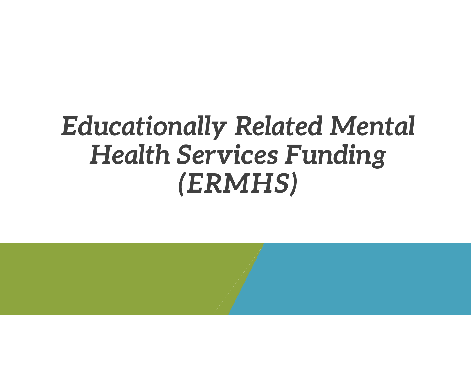## *Educationally Related Mental Health Services Funding (ERMHS)*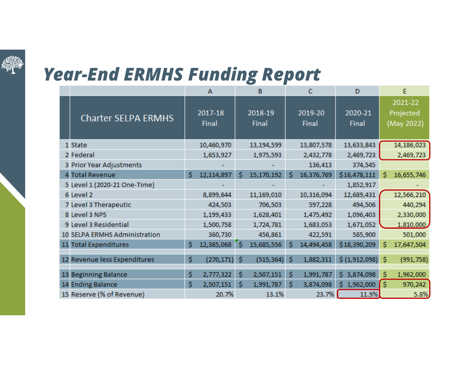

#### *Year-End ERMHS Funding Report*

|                               |    | $\overline{A}$   |    | B                |    | $\mathbf C$      | D                |    | E                                  |
|-------------------------------|----|------------------|----|------------------|----|------------------|------------------|----|------------------------------------|
| <b>Charter SELPA ERMHS</b>    |    | 2017-18<br>Final |    | 2018-19<br>Final |    | 2019-20<br>Final | 2020-21<br>Final |    | 2021-22<br>Projected<br>(May 2022) |
| 1 State                       |    | 10,460,970       |    | 13,194,599       |    | 13,807,578       | 13,633,843       |    | 14,186,023                         |
| 2 Federal                     |    | 1,653,927        |    | 1,975,593        |    | 2,432,778        | 2,469,723        |    | 2,469,723                          |
| 3 Prior Year Adjustments      |    |                  |    |                  |    | 136,413          | 374,545          |    |                                    |
| 4 Total Revenue               | Ś  | 12,114,897       | Ś  | 15,170,192       | Ś  | 16,376,769       | \$16,478,111     | Ś  | 16,655,746                         |
| 5 Level 1 (2020-21 One-Time)  |    |                  |    |                  |    |                  | 1,852,917        |    |                                    |
| 6 Level 2                     |    | 8,899,644        |    | 11,169,010       |    | 10,316,094       | 12,689,431       |    | 12,566,210                         |
| 7 Level 3 Therapeutic         |    | 424,503          |    | 706,503          |    | 597,228          | 494,506          |    | 440,294                            |
| 8 Level 3 NPS                 |    | 1,199,433        |    | 1,628,401        |    | 1,475,492        | 1,096,403        |    | 2,330,000                          |
| 9 Level 3 Residential         |    | 1,500,758        |    | 1,724,781        |    | 1,683,053        | 1,671,052        |    | 1,810,000                          |
| 10 SELPA ERMHS Administration |    | 360,730          |    | 456,861          |    | 422,591          | 585,900          |    | 501,000                            |
| 11 Total Expenditures         | \$ | 12,385,068       | ٢ś | 15,685,556       | Ś  | 14,494,458       | \$18,390,209     | Ś  | 17,647,504                         |
| 12 Revenue less Expenditures  | \$ | (270, 171)       | Ŝ  | (515, 364)       | Ś  | 1,882,311        | \$(1,912,098)    | Ś. | (991, 758)                         |
| 13 Beginning Balance          | \$ | 2,777,322        | \$ | 2,507,151        | \$ | 1,991,787        | \$3,874,098      | \$ | 1,962,000                          |
| 14 Ending Balance             | Ś  | 2,507,151        | Ś  | 1,991,787        | Ś  | 3,874,098        | 1,962,000<br>Ŝ.  | Ś. | 970,242                            |
| 15 Reserve (% of Revenue)     |    | 20.7%            |    | 13.1%            |    | 23.7%            | 11.9%            |    | 5.8%                               |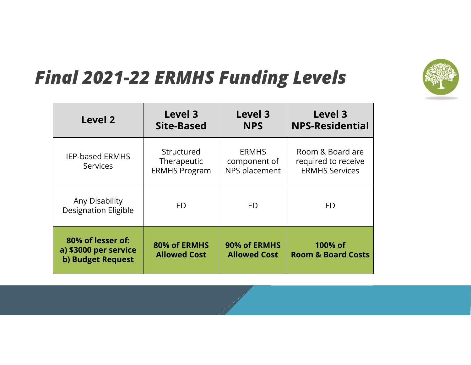

#### *Final 2021-22 ERMHS Funding Levels*

| <b>Level 2</b>                                                  | Level 3<br>Site-Based                             | <b>Level 3</b><br><b>NPS</b>                  | Level 3<br><b>NPS-Residential</b>                                |  |  |  |
|-----------------------------------------------------------------|---------------------------------------------------|-----------------------------------------------|------------------------------------------------------------------|--|--|--|
| <b>IEP-based ERMHS</b><br><b>Services</b>                       | Structured<br>Therapeutic<br><b>ERMHS Program</b> | <b>ERMHS</b><br>component of<br>NPS placement | Room & Board are<br>required to receive<br><b>ERMHS Services</b> |  |  |  |
| Any Disability<br><b>Designation Eligible</b>                   | ED                                                | ED                                            | ED                                                               |  |  |  |
| 80% of lesser of:<br>a) \$3000 per service<br>b) Budget Request | 80% of ERMHS<br><b>Allowed Cost</b>               | 90% of ERMHS<br><b>Allowed Cost</b>           | 100% of<br><b>Room &amp; Board Costs</b>                         |  |  |  |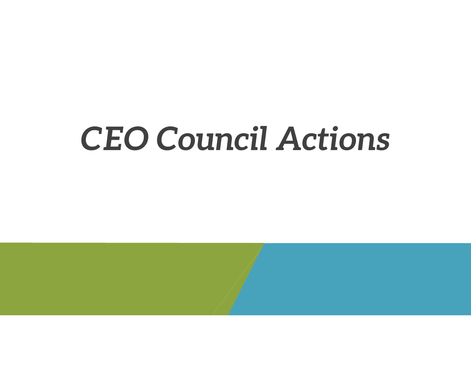## *CEO Council Actions*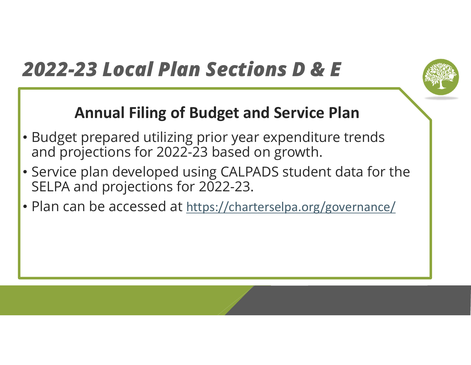### *2022-23 Local Plan Sections D & E*

#### **Annual Filing of Budget and Service Plan**

- Budget prepared utilizing prior year expenditure trends and projections for 2022-23 based on growth.
- Service plan developed using CALPADS student data for the SELPA and projections for 2022-23.
- Plan can be accessed at https://charterselpa.org/governance/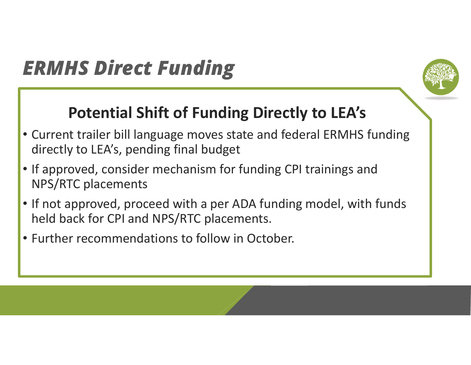#### *ERMHS Direct Funding*



#### **Potential Shift of Funding Directly to LEA's**

- Current trailer bill language moves state and federal ERMHS funding directly to LEA's, pending final budget
- If approved, consider mechanism for funding CPI trainings and NPS/RTC placements
- If not approved, proceed with a per ADA funding model, with funds held back for CPI and NPS/RTC placements.
- Further recommendations to follow in October.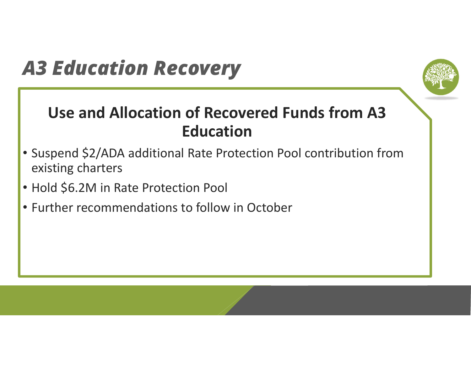#### *A3 Education Recovery*



#### **Use and Allocation of Recovered Funds from A3 Education**

- Suspend \$2/ADA additional Rate Protection Pool contribution from existing charters
- Hold \$6.2M in Rate Protection Pool
- Further recommendations to follow in October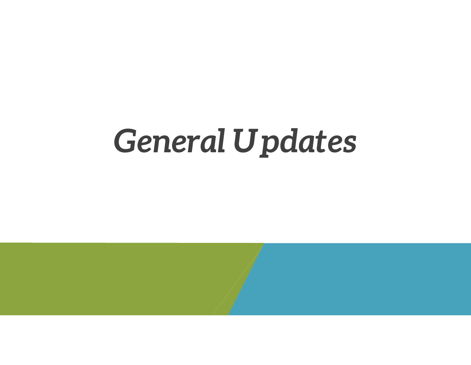## *General Updates*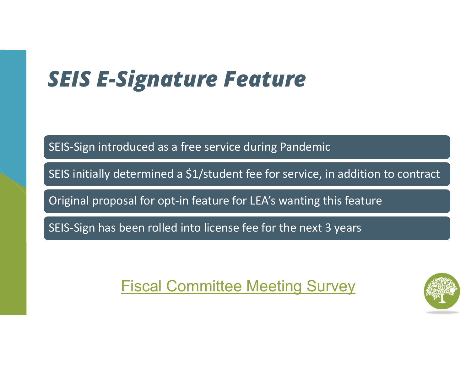### *SEIS E-Signature Feature*

SEIS‐Sign introduced as <sup>a</sup> free service during Pandemic

SEIS initially determined <sup>a</sup> \$1/student fee for service, in addition to contract

Original proposal for opt‐in feature for LEA's wanting this feature

SEIS‐Sign has been rolled into license fee for the next 3 years

Fiscal Committee Meeting Survey

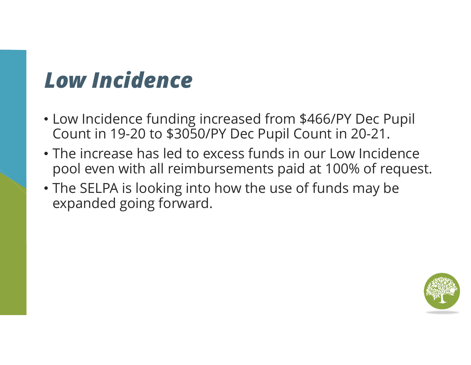### *Low Incidence*

- Low Incidence funding increased from \$466/PY Dec Pupil Count in 19-20 to \$3050/PY Dec Pupil Count in 20-21.
- The increase has led to excess funds in our Low Incidence pool even with all reimbursements paid at 100% of request.
- The SELPA is looking into how the use of funds may be expanded going forward.

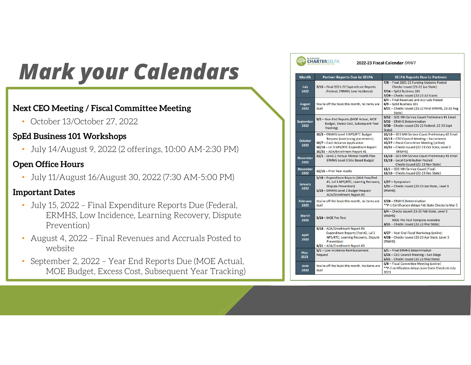### *Mark your Calendars*

#### **Next CEO Meeting / Fiscal Committee Meeting**

• October 13/October 27, 2022

#### **SpEd Business 101 Workshops**

• July 14/August 9, 2022 (2 offerings, 10:00 AM-2:30 PM)

#### **Open Office Hours**

•July 11/August 16/August 30, 2022 (7:30 AM-5:00 PM)

#### **Important Dates**

- July 15, 2022 Final Expenditure Reports Due (Federal, ERMHS, Low Incidence, Learning Recovery, Dispute Prevention)
- August 4, 2022 Final Revenues and Accruals Posted to website
- • September 2, 2022 – Year End Reports Due (MOE Actual, MOE Budget, Excess Cost, Subsequent Year Tracking)

#### **CHARTERSELPA**

2022-23 Fiscal Calendar DRAFT

| <b>Month</b>             | <b>Partner Reports Due to SELPA</b>                                                                                                                                                              | <b>SELPA Reports Due to Partners</b>                                                                                                                                                                           |  |  |  |
|--------------------------|--------------------------------------------------------------------------------------------------------------------------------------------------------------------------------------------------|----------------------------------------------------------------------------------------------------------------------------------------------------------------------------------------------------------------|--|--|--|
| <b>July</b><br>2022      | 7/15 - Final 2021-22 Expenditure Reports<br>(Federal, ERMHS, Low Incidence)                                                                                                                      | 7/8 - Final 2021-22 Funding Updates Posted<br>Checks Issued (21-22 Jun State)<br>7/14 - SpEd Business 101<br>7/29 - Checks Issued (22-23 Jul State)                                                            |  |  |  |
| <b>August</b><br>2022    | You're off the hook this month, no items are<br>laub                                                                                                                                             | 8/4 - Final Revenues and Accruals Posted<br>8/9 - SpEd Business 101<br>8/31 - Checks Issued (21-22 Final ERMHS, 22-23 Aug.<br>State)                                                                           |  |  |  |
| <b>September</b><br>2022 | 9/2 - Year-End Reports (MOE Actual, MOE<br>Budget, Excess Cost, Subsequent Year<br>Tracking)                                                                                                     | 9/12 - SEIS MH Service Count Preliminary #1 Email<br>9/15 - ERMHS Determination<br>9/30 - Checks Issued (21-22 Federal, 22-23 Sept<br>State)                                                                   |  |  |  |
| <b>October</b><br>2022   | 10/3 - ERMHS Level 3 NPS/RTC Budget<br><b>Request (continuing placements)</b><br>10/7 - Cash Advance Application<br>10/18 - Lvl 3 NPS/RTC Expenditure Report<br>10/21 - ADA/Enrollment Report #1 | 10/10 - SEIS MH Service Count Preliminary #2 Email<br>10/13 - CEO Council Meeting - Sacramento<br>10/27 - Fiscal Committee Meeting (online)<br>10/31 - Checks Issued (22-23 Oct State, Level 3<br><b>ERMHS</b> |  |  |  |
| <b>November</b><br>2022  | 11/1 - Level 2 Annual Mental Health Plan<br><b>ERMHS Level 3 Site Based Budget</b>                                                                                                               | 11/10 - SEIS MH Service Count Preliminary #3 Email<br>11/18 - Local Contribution Posted<br>Checks Issued (22-23 Nov State)                                                                                     |  |  |  |
| <b>December</b><br>2022  | 12/16 - Prior Year Audits                                                                                                                                                                        | 12/1 - SEIS MH Service Count (Final)<br>12/16 - Checks Issued (22-23 Dec State)                                                                                                                                |  |  |  |
| January<br>2023          | 1/18 - Expenditure Reports (Mid-Year/Fed<br>#1, Lvl 3 NPS/RTC, Learning Recovery,<br><b>Dispute Prevention)</b><br>1/23 - ERMHS Level 2 Budget Request<br><b>ADA/Enrollment Report #2</b>        | $1/27 - Symposition$<br>1/31 - Checks Issued (22-23 Jan State, Level 3<br>ERMHS)                                                                                                                               |  |  |  |
| February<br>2023         | You're off the hook this month, no items are<br>due!                                                                                                                                             | 2/28 - ERMHS Determination<br>** P-1 Certification delays Feb State Checks to Mar 5                                                                                                                            |  |  |  |
| <b>March</b><br>2023     | 3/24 - MOE Pre-Test                                                                                                                                                                              | 3/4 - Checks Issued (22-23 Feb State, Level 2<br><b>ERMHS</b><br><b>MOE Pre-Test Template Available</b><br>3/31 - Checks Issued (22-23 Mar State)                                                              |  |  |  |
| <b>April</b><br>2023     | 4/18 - ADA/Enrollment Report #3<br>Expenditure Reports (Fed #2, Lvl 3<br>NPS/RTC, Learning Recovery, Dispute<br>Prevention)<br>4/21 - ADA/Enrollment Report #3                                   | 4/27 - Year-End Fiscal Workshop (online)<br>4/28 - Checks Issued (22-23 Apr State, Level 3<br><b>ERMHS</b> )                                                                                                   |  |  |  |
| May<br>2023              | 5/1 - Low Incidence Reimbursement<br><b>Request</b>                                                                                                                                              | 5/1 - Final ERMHS Determination<br>5/25 - CEO Council Meeting - San Diego<br>5/31 - Checks Issued (22-23 May State)                                                                                            |  |  |  |
| <b>June</b><br>2023      | You're off the hook this month. No items are<br>duel                                                                                                                                             | 6/8 - Fiscal Committee Meeting (online)<br>** P-2 certification delays June State Checks to July<br>2023                                                                                                       |  |  |  |